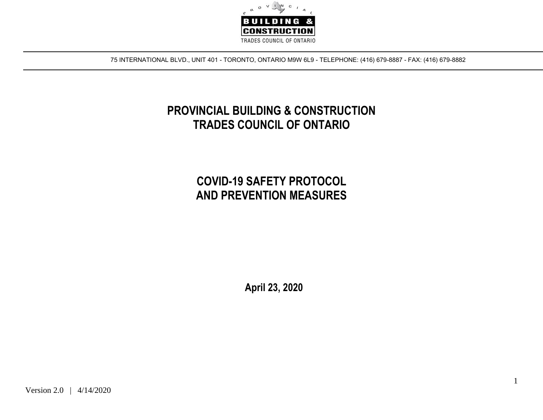

75 INTERNATIONAL BLVD., UNIT 401 - TORONTO, ONTARIO M9W 6L9 - TELEPHONE: (416) 679-8887 - FAX: (416) 679-8882

## **PROVINCIAL BUILDING & CONSTRUCTION TRADES COUNCIL OF ONTARIO**

## **COVID-19 SAFETY PROTOCOL AND PREVENTION MEASURES**

 **April 23, 2020**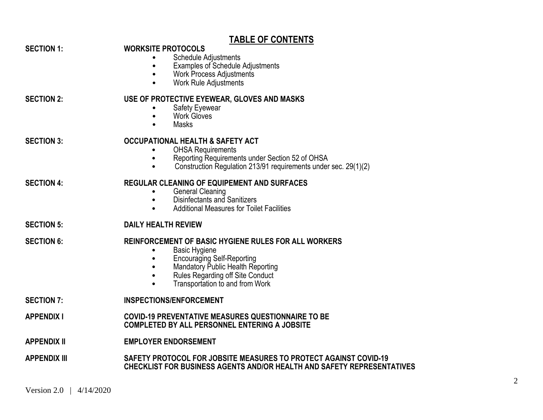|                     | <b>TABLE OF CONTENTS</b>                                                                                                                                                                                                      |
|---------------------|-------------------------------------------------------------------------------------------------------------------------------------------------------------------------------------------------------------------------------|
| <b>SECTION 1:</b>   | <b>WORKSITE PROTOCOLS</b><br><b>Schedule Adjustments</b><br><b>Examples of Schedule Adjustments</b><br><b>Work Process Adjustments</b><br>$\bullet$<br><b>Work Rule Adjustments</b><br>$\bullet$                              |
| <b>SECTION 2:</b>   | USE OF PROTECTIVE EYEWEAR, GLOVES AND MASKS<br><b>Safety Eyewear</b><br>Work Gloves<br><b>Masks</b>                                                                                                                           |
| <b>SECTION 3:</b>   | <b>OCCUPATIONAL HEALTH &amp; SAFETY ACT</b><br><b>OHSA Requirements</b><br>Reporting Requirements under Section 52 of OHSA<br>$\bullet$<br>Construction Regulation 213/91 requirements under sec. 29(1)(2)                    |
| <b>SECTION 4:</b>   | <b>REGULAR CLEANING OF EQUIPEMENT AND SURFACES</b><br><b>General Cleaning</b><br>$\bullet$<br>Disinfectants and Sanitizers<br>$\bullet$<br><b>Additional Measures for Toilet Facilities</b>                                   |
| <b>SECTION 5:</b>   | <b>DAILY HEALTH REVIEW</b>                                                                                                                                                                                                    |
| <b>SECTION 6:</b>   | REINFORCEMENT OF BASIC HYGIENE RULES FOR ALL WORKERS<br><b>Basic Hygiene</b><br><b>Encouraging Self-Reporting</b><br>Mandatory Public Health Reporting<br>Rules Regarding off Site Conduct<br>Transportation to and from Work |
| <b>SECTION 7:</b>   | <b>INSPECTIONS/ENFORCEMENT</b>                                                                                                                                                                                                |
| <b>APPENDIX I</b>   | <b>COVID-19 PREVENTATIVE MEASURES QUESTIONNAIRE TO BE</b><br><b>COMPLETED BY ALL PERSONNEL ENTERING A JOBSITE</b>                                                                                                             |
| <b>APPENDIX II</b>  | <b>EMPLOYER ENDORSEMENT</b>                                                                                                                                                                                                   |
| <b>APPENDIX III</b> | SAFETY PROTOCOL FOR JOBSITE MEASURES TO PROTECT AGAINST COVID-19<br><b>CHECKLIST FOR BUSINESS AGENTS AND/OR HEALTH AND SAFETY REPRESENTATIVES</b>                                                                             |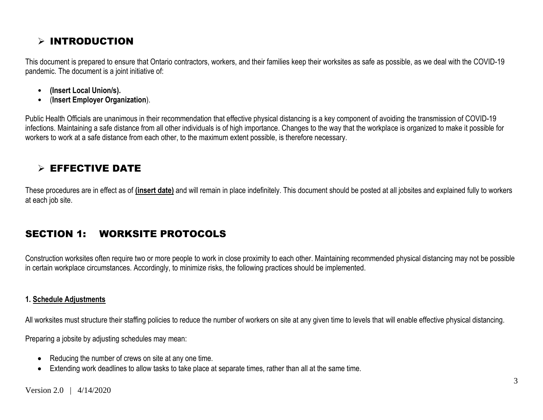### $>$  INTRODUCTION

This document is prepared to ensure that Ontario contractors, workers, and their families keep their worksites as safe as possible, as we deal with the COVID-19 pandemic. The document is a joint initiative of:

- **(Insert Local Union/s).**
- (**Insert Employer Organization**).

Public Health Officials are unanimous in their recommendation that effective physical distancing is a key component of avoiding the transmission of COVID-19 infections. Maintaining a safe distance from all other individuals is of high importance. Changes to the way that the workplace is organized to make it possible for workers to work at a safe distance from each other, to the maximum extent possible, is therefore necessary.

### $\triangleright$  EFFECTIVE DATE

These procedures are in effect as of **(insert date)** and will remain in place indefinitely. This document should be posted at all jobsites and explained fully to workers at each job site.

### SECTION 1: WORKSITE PROTOCOLS

Construction worksites often require two or more people to work in close proximity to each other. Maintaining recommended physical distancing may not be possible in certain workplace circumstances. Accordingly, to minimize risks, the following practices should be implemented.

#### **1. Schedule Adjustments**

All worksites must structure their staffing policies to reduce the number of workers on site at any given time to levels that will enable effective physical distancing.

Preparing a jobsite by adjusting schedules may mean:

- Reducing the number of crews on site at any one time.
- Extending work deadlines to allow tasks to take place at separate times, rather than all at the same time.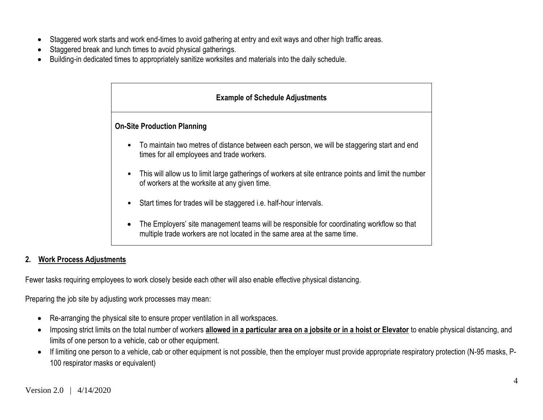- Staggered work starts and work end-times to avoid gathering at entry and exit ways and other high traffic areas.
- Staggered break and lunch times to avoid physical gatherings.
- Building-in dedicated times to appropriately sanitize worksites and materials into the daily schedule.

| <b>Example of Schedule Adjustments</b>                                                                                                                                               |  |  |  |  |  |  |  |  |  |
|--------------------------------------------------------------------------------------------------------------------------------------------------------------------------------------|--|--|--|--|--|--|--|--|--|
| <b>On-Site Production Planning</b>                                                                                                                                                   |  |  |  |  |  |  |  |  |  |
| To maintain two metres of distance between each person, we will be staggering start and end<br>$\bullet$<br>times for all employees and trade workers.                               |  |  |  |  |  |  |  |  |  |
| This will allow us to limit large gatherings of workers at site entrance points and limit the number<br>$\bullet$<br>of workers at the worksite at any given time.                   |  |  |  |  |  |  |  |  |  |
| Start times for trades will be staggered i.e. half-hour intervals.<br>$\bullet$                                                                                                      |  |  |  |  |  |  |  |  |  |
| The Employers' site management teams will be responsible for coordinating workflow so that<br>$\bullet$<br>multiple trade workers are not located in the same area at the same time. |  |  |  |  |  |  |  |  |  |

#### **2. Work Process Adjustments**

Fewer tasks requiring employees to work closely beside each other will also enable effective physical distancing.

Preparing the job site by adjusting work processes may mean:

- Re-arranging the physical site to ensure proper ventilation in all workspaces.
- Imposing strict limits on the total number of workers **allowed in a particular area on a jobsite or in a hoist or Elevator** to enable physical distancing, and limits of one person to a vehicle, cab or other equipment.
- If limiting one person to a vehicle, cab or other equipment is not possible, then the employer must provide appropriate respiratory protection (N-95 masks, P-100 respirator masks or equivalent)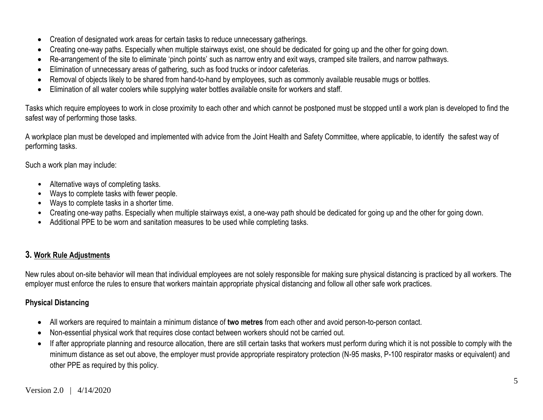- Creation of designated work areas for certain tasks to reduce unnecessary gatherings.
- Creating one-way paths. Especially when multiple stairways exist, one should be dedicated for going up and the other for going down.
- Re-arrangement of the site to eliminate 'pinch points' such as narrow entry and exit ways, cramped site trailers, and narrow pathways.
- Elimination of unnecessary areas of gathering, such as food trucks or indoor cafeterias.
- Removal of objects likely to be shared from hand-to-hand by employees, such as commonly available reusable mugs or bottles.
- Elimination of all water coolers while supplying water bottles available onsite for workers and staff.

Tasks which require employees to work in close proximity to each other and which cannot be postponed must be stopped until a work plan is developed to find the safest way of performing those tasks.

A workplace plan must be developed and implemented with advice from the Joint Health and Safety Committee, where applicable, to identify the safest way of performing tasks.

Such a work plan may include:

- Alternative ways of completing tasks.
- Ways to complete tasks with fewer people.
- Ways to complete tasks in a shorter time.
- Creating one-way paths. Especially when multiple stairways exist, a one-way path should be dedicated for going up and the other for going down.
- Additional PPE to be worn and sanitation measures to be used while completing tasks.

#### **3. Work Rule Adjustments**

New rules about on-site behavior will mean that individual employees are not solely responsible for making sure physical distancing is practiced by all workers. The employer must enforce the rules to ensure that workers maintain appropriate physical distancing and follow all other safe work practices.

#### **Physical Distancing**

- All workers are required to maintain a minimum distance of **two metres** from each other and avoid person-to-person contact.
- Non-essential physical work that requires close contact between workers should not be carried out.
- If after appropriate planning and resource allocation, there are still certain tasks that workers must perform during which it is not possible to comply with the minimum distance as set out above, the employer must provide appropriate respiratory protection (N-95 masks, P-100 respirator masks or equivalent) and other PPE as required by this policy.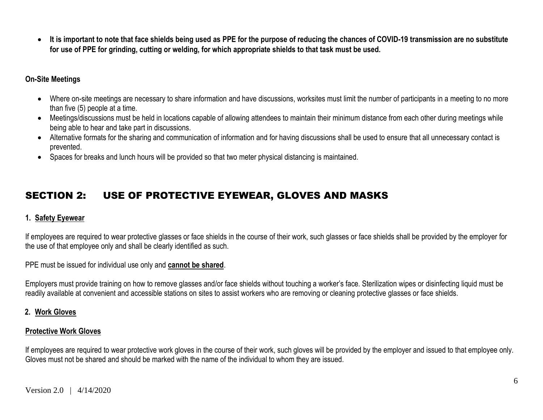**It is important to note that face shields being used as PPE for the purpose of reducing the chances of COVID-19 transmission are no substitute for use of PPE for grinding, cutting or welding, for which appropriate shields to that task must be used.**

#### **On-Site Meetings**

- Where on-site meetings are necessary to share information and have discussions, worksites must limit the number of participants in a meeting to no more than five (5) people at a time.
- Meetings/discussions must be held in locations capable of allowing attendees to maintain their minimum distance from each other during meetings while being able to hear and take part in discussions.
- Alternative formats for the sharing and communication of information and for having discussions shall be used to ensure that all unnecessary contact is prevented.
- Spaces for breaks and lunch hours will be provided so that two meter physical distancing is maintained.

### SECTION 2: USE OF PROTECTIVE EYEWEAR, GLOVES AND MASKS

#### **1. Safety Eyewear**

If employees are required to wear protective glasses or face shields in the course of their work, such glasses or face shields shall be provided by the employer for the use of that employee only and shall be clearly identified as such.

PPE must be issued for individual use only and **cannot be shared**.

Employers must provide training on how to remove glasses and/or face shields without touching a worker's face. Sterilization wipes or disinfecting liquid must be readily available at convenient and accessible stations on sites to assist workers who are removing or cleaning protective glasses or face shields.

#### **2. Work Gloves**

#### **Protective Work Gloves**

If employees are required to wear protective work gloves in the course of their work, such gloves will be provided by the employer and issued to that employee only. Gloves must not be shared and should be marked with the name of the individual to whom they are issued.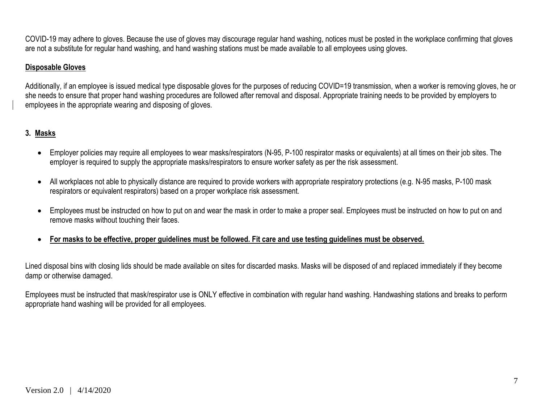COVID-19 may adhere to gloves. Because the use of gloves may discourage regular hand washing, notices must be posted in the workplace confirming that gloves are not a substitute for regular hand washing, and hand washing stations must be made available to all employees using gloves.

#### **Disposable Gloves**

Additionally, if an employee is issued medical type disposable gloves for the purposes of reducing COVID=19 transmission, when a worker is removing gloves, he or she needs to ensure that proper hand washing procedures are followed after removal and disposal. Appropriate training needs to be provided by employers to employees in the appropriate wearing and disposing of gloves.

#### **3. Masks**

- Employer policies may require all employees to wear masks/respirators (N-95, P-100 respirator masks or equivalents) at all times on their job sites. The employer is required to supply the appropriate masks/respirators to ensure worker safety as per the risk assessment.
- All workplaces not able to physically distance are required to provide workers with appropriate respiratory protections (e.g. N-95 masks, P-100 mask respirators or equivalent respirators) based on a proper workplace risk assessment.
- Employees must be instructed on how to put on and wear the mask in order to make a proper seal. Employees must be instructed on how to put on and remove masks without touching their faces.
- **For masks to be effective, proper guidelines must be followed. Fit care and use testing guidelines must be observed.**

Lined disposal bins with closing lids should be made available on sites for discarded masks. Masks will be disposed of and replaced immediately if they become damp or otherwise damaged.

Employees must be instructed that mask/respirator use is ONLY effective in combination with regular hand washing. Handwashing stations and breaks to perform appropriate hand washing will be provided for all employees.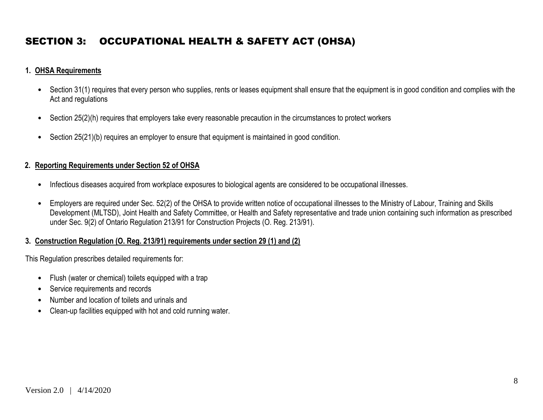### SECTION 3: OCCUPATIONAL HEALTH & SAFETY ACT (OHSA)

#### **1. OHSA Requirements**

- Section 31(1) requires that every person who supplies, rents or leases equipment shall ensure that the equipment is in good condition and complies with the Act and regulations
- Section 25(2)(h) requires that employers take every reasonable precaution in the circumstances to protect workers
- Section 25(21)(b) requires an employer to ensure that equipment is maintained in good condition.

#### **2. Reporting Requirements under Section 52 of OHSA**

- Infectious diseases acquired from workplace exposures to biological agents are considered to be occupational illnesses.
- Employers are required under Sec. 52(2) of the OHSA to provide written notice of occupational illnesses to the Ministry of Labour, Training and Skills Development (MLTSD), Joint Health and Safety Committee, or Health and Safety representative and trade union containing such information as prescribed under Sec. 9(2) of Ontario Regulation 213/91 for Construction Projects (O. Reg. 213/91).

#### **3. Construction Regulation (O. Reg. 213/91) requirements under section 29 (1) and (2)**

This Regulation prescribes detailed requirements for:

- Flush (water or chemical) toilets equipped with a trap
- Service requirements and records
- Number and location of toilets and urinals and
- Clean-up facilities equipped with hot and cold running water.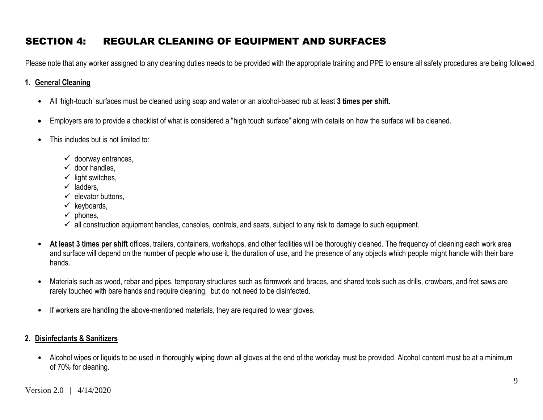## SECTION 4: REGULAR CLEANING OF EQUIPMENT AND SURFACES

Please note that any worker assigned to any cleaning duties needs to be provided with the appropriate training and PPE to ensure all safety procedures are being followed.

#### **1. General Cleaning**

- All 'high-touch' surfaces must be cleaned using soap and water or an alcohol-based rub at least **3 times per shift.**
- Employers are to provide a checklist of what is considered a "high touch surface" along with details on how the surface will be cleaned.
- This includes but is not limited to:
	- $\checkmark$  doorway entrances,
	- $\checkmark$  door handles
	- $\checkmark$  light switches,
	- $\checkmark$  ladders.
	- $\checkmark$  elevator buttons.
	- $\checkmark$  keyboards,
	- $\checkmark$  phones.
	- $\checkmark$  all construction equipment handles, consoles, controls, and seats, subject to any risk to damage to such equipment.
- **At least 3 times per shift** offices, trailers, containers, workshops, and other facilities will be thoroughly cleaned. The frequency of cleaning each work area and surface will depend on the number of people who use it, the duration of use, and the presence of any objects which people might handle with their bare hands.
- Materials such as wood, rebar and pipes, temporary structures such as formwork and braces, and shared tools such as drills, crowbars, and fret saws are rarely touched with bare hands and require cleaning, but do not need to be disinfected.
- If workers are handling the above-mentioned materials, they are required to wear gloves.

#### **2. Disinfectants & Sanitizers**

• Alcohol wipes or liquids to be used in thoroughly wiping down all gloves at the end of the workday must be provided. Alcohol content must be at a minimum of 70% for cleaning.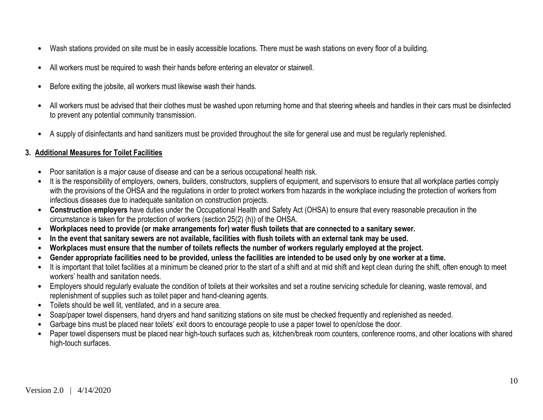- Wash stations provided on site must be in easily accessible locations. There must be wash stations on every floor of a building.
- All workers must be required to wash their hands before entering an elevator or stairwell.
- Before exiting the jobsite, all workers must likewise wash their hands.
- All workers must be advised that their clothes must be washed upon returning home and that steering wheels and handles in their cars must be disinfected to prevent any potential community transmission.
- A supply of disinfectants and hand sanitizers must be provided throughout the site for general use and must be regularly replenished.

#### **3. Additional Measures for Toilet Facilities**

- Poor sanitation is a major cause of disease and can be a serious occupational health risk.
- It is the responsibility of employers, owners, builders, constructors, suppliers of equipment, and supervisors to ensure that all workplace parties comply with the provisions of the OHSA and the regulations in order to protect workers from hazards in the workplace including the protection of workers from infectious diseases due to inadequate sanitation on construction projects.
- **Construction employers** have duties under the Occupational Health and Safety Act (OHSA) to ensure that every reasonable precaution in the circumstance is taken for the protection of workers (section 25(2) (h)) of the OHSA.
- Workplaces need to provide (or make arrangements for) water flush toilets that are connected to a sanitary sewer.
- In the event that sanitary sewers are not available, facilities with flush toilets with an external tank may be used.
- Workplaces must ensure that the number of toilets reflects the number of workers regularly emploved at the project.
- Gender appropriate facilities need to be provided, unless the facilities are intended to be used only by one worker at a time.
- It is important that toilet facilities at a minimum be cleaned prior to the start of a shift and at mid shift and kept clean during the shift, often enough to meet workers' health and sanitation needs.
- Employers should regularly evaluate the condition of toilets at their worksites and set a routine servicing schedule for cleaning, waste removal, and replenishment of supplies such as toilet paper and hand-cleaning agents.
- Toilets should be well lit, ventilated, and in a secure area.
- Soap/paper towel dispensers, hand dryers and hand sanitizing stations on site must be checked frequently and replenished as needed.
- Garbage bins must be placed near toilets' exit doors to encourage people to use a paper towel to open/close the door.
- Paper towel dispensers must be placed near high-touch surfaces such as, kitchen/break room counters, conference rooms, and other locations with shared high-touch surfaces.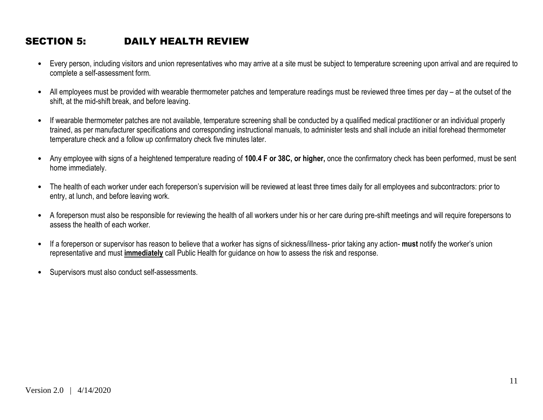### SECTION 5: DAILY HEALTH REVIEW

- Every person, including visitors and union representatives who may arrive at a site must be subject to temperature screening upon arrival and are required to complete a self-assessment form.
- All employees must be provided with wearable thermometer patches and temperature readings must be reviewed three times per day at the outset of the shift, at the mid-shift break, and before leaving.
- If wearable thermometer patches are not available, temperature screening shall be conducted by a qualified medical practitioner or an individual properly trained, as per manufacturer specifications and corresponding instructional manuals, to administer tests and shall include an initial forehead thermometer temperature check and a follow up confirmatory check five minutes later.
- Any employee with signs of a heightened temperature reading of **100.4 F or 38C, or higher,** once the confirmatory check has been performed, must be sent home immediately.
- The health of each worker under each foreperson's supervision will be reviewed at least three times daily for all employees and subcontractors: prior to entry, at lunch, and before leaving work.
- A foreperson must also be responsible for reviewing the health of all workers under his or her care during pre-shift meetings and will require forepersons to assess the health of each worker.
- If a foreperson or supervisor has reason to believe that a worker has signs of sickness/illness- prior taking any action- **must** notify the worker's union representative and must **immediately** call Public Health for guidance on how to assess the risk and response.
- Supervisors must also conduct self-assessments.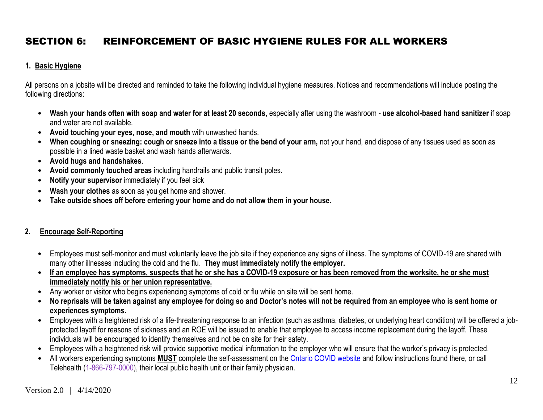## SECTION 6: REINFORCEMENT OF BASIC HYGIENE RULES FOR ALL WORKERS

#### **1. Basic Hygiene**

All persons on a jobsite will be directed and reminded to take the following individual hygiene measures. Notices and recommendations will include posting the following directions:

- **Wash your hands often with soap and water for at least 20 seconds**, especially after using the washroom **use alcohol-based hand sanitizer** if soap and water are not available.
- **Avoid touching your eyes, nose, and mouth** with unwashed hands.
- **When coughing or sneezing: cough or sneeze into a tissue or the bend of your arm,** not your hand, and dispose of any tissues used as soon as possible in a lined waste basket and wash hands afterwards.
- **Avoid hugs and handshakes**.
- **Avoid commonly touched areas** including handrails and public transit poles.
- **Notify your supervisor** immediately if you feel sick
- **Wash your clothes** as soon as you get home and shower.
- **Take outside shoes off before entering your home and do not allow them in your house.**

#### **2. Encourage Self-Reporting**

- Employees must self-monitor and must voluntarily leave the job site if they experience any signs of illness. The symptoms of COVID-19 are shared with many other illnesses including the cold and the flu. **They must immediately notify the employer.**
- **If an employee has symptoms, suspects that he or she has a COVID-19 exposure or has been removed from the worksite, he or she must immediately notify his or her union representative.**
- Any worker or visitor who begins experiencing symptoms of cold or flu while on site will be sent home.
- **No reprisals will be taken against any employee for doing so and Doctor's notes will not be required from an employee who is sent home or experiences symptoms.**
- Employees with a heightened risk of a life-threatening response to an infection (such as asthma, diabetes, or underlying heart condition) will be offered a jobprotected layoff for reasons of sickness and an ROE will be issued to enable that employee to access income replacement during the layoff. These individuals will be encouraged to identify themselves and not be on site for their safety.
- Employees with a heightened risk will provide supportive medical information to the employer who will ensure that the worker's privacy is protected.
- All workers experiencing symptoms **MUST** complete the self-assessment on the Ontario COVID website and follow instructions found there, or call Telehealth (1-866-797-0000), their local public health unit or their family physician.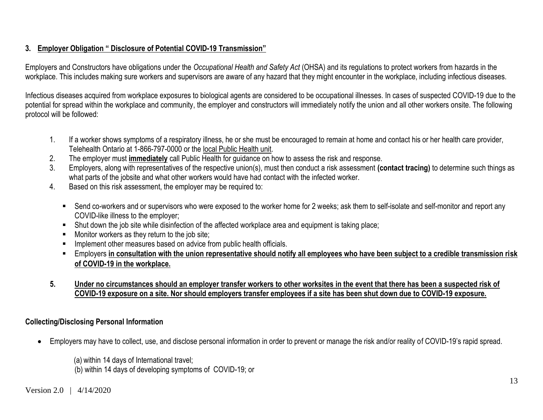#### **3. Employer Obligation " Disclosure of Potential COVID-19 Transmission"**

Employers and Constructors have obligations under the *Occupational Health and Safety Act* (OHSA) and its regulations to protect workers from hazards in the workplace. This includes making sure workers and supervisors are aware of any hazard that they might encounter in the workplace, including infectious diseases.

Infectious diseases acquired from workplace exposures to biological agents are considered to be occupational illnesses. In cases of suspected COVID-19 due to the potential for spread within the workplace and community, the employer and constructors will immediately notify the union and all other workers onsite. The following protocol will be followed:

- 1. If a worker shows symptoms of a respiratory illness, he or she must be encouraged to remain at home and contact his or her health care provider, Telehealth Ontario at 1-866-797-0000 or the [local Public Health unit.](http://www.health.gov.on.ca/en/common/system/services/phu/locations.aspx)
- 2. The employer must **immediately** call Public Health for guidance on how to assess the risk and response.
- 3. Employers, along with representatives of the respective union(s), must then conduct a risk assessment **(contact tracing)** to determine such things as what parts of the jobsite and what other workers would have had contact with the infected worker.
- 4. Based on this risk assessment, the employer may be required to:
	- Send co-workers and or supervisors who were exposed to the worker home for 2 weeks; ask them to self-isolate and self-monitor and report any COVID-like illness to the employer;
	- Shut down the job site while disinfection of the affected workplace area and equipment is taking place;
	- Monitor workers as they return to the job site;
	- **IMPLEMENT IMPLEMENT IMPLEMENT IMPLY** Implement other measures based on advice from public health officials.
	- Employers **in consultation with the union representative should notify all employees who have been subject to a credible transmission risk of COVID-19 in the workplace.**
- **5. Under no circumstances should an employer transfer workers to other worksites in the event that there has been a suspected risk of COVID-19 exposure on a site. Nor should employers transfer employees if a site has been shut down due to COVID-19 exposure.**

#### **Collecting/Disclosing Personal Information**

Employers may have to collect, use, and disclose personal information in order to prevent or manage the risk and/or reality of COVID-19's rapid spread.

(a) within 14 days of International travel; (b) within 14 days of developing symptoms of COVID-19; or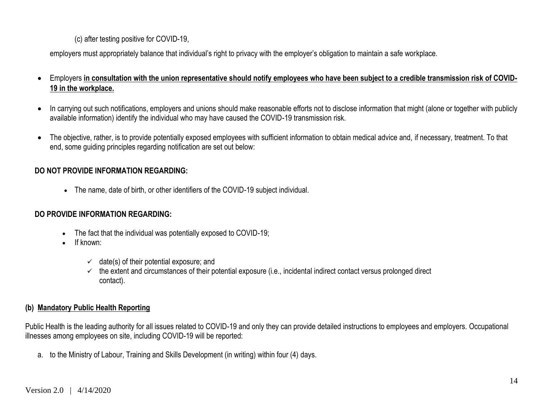(c) after testing positive for COVID-19,

employers must appropriately balance that individual's right to privacy with the employer's obligation to maintain a safe workplace.

- Employers **in consultation with the union representative should notify employees who have been subject to a credible transmission risk of COVID-19 in the workplace.**
- In carrying out such notifications, employers and unions should make reasonable efforts not to disclose information that might (alone or together with publicly available information) identify the individual who may have caused the COVID-19 transmission risk.
- The objective, rather, is to provide potentially exposed employees with sufficient information to obtain medical advice and, if necessary, treatment. To that end, some guiding principles regarding notification are set out below:

#### **DO NOT PROVIDE INFORMATION REGARDING:**

The name, date of birth, or other identifiers of the COVID-19 subject individual.

#### **DO PROVIDE INFORMATION REGARDING:**

- The fact that the individual was potentially exposed to COVID-19;
- $\bullet$  If known:
	- $\checkmark$  date(s) of their potential exposure; and
	- $\checkmark$  the extent and circumstances of their potential exposure (i.e., incidental indirect contact versus prolonged direct contact).

#### **(b) Mandatory Public Health Reporting**

Public Health is the leading authority for all issues related to COVID-19 and only they can provide detailed instructions to employees and employers. Occupational illnesses among employees on site, including COVID-19 will be reported:

a. to the Ministry of Labour, Training and Skills Development (in writing) within four (4) days.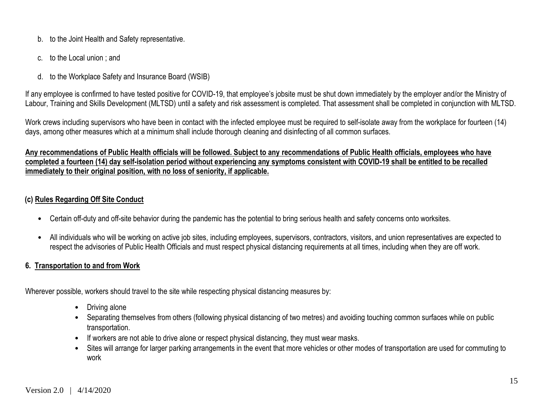- b. to the Joint Health and Safety representative.
- c. to the Local union ; and
- d. to the Workplace Safety and Insurance Board (WSIB)

If any employee is confirmed to have tested positive for COVID-19, that employee's jobsite must be shut down immediately by the employer and/or the Ministry of Labour, Training and Skills Development (MLTSD) until a safety and risk assessment is completed. That assessment shall be completed in conjunction with MLTSD.

Work crews including supervisors who have been in contact with the infected employee must be required to self-isolate away from the workplace for fourteen (14) days, among other measures which at a minimum shall include thorough cleaning and disinfecting of all common surfaces.

#### **Any recommendations of Public Health officials will be followed. Subject to any recommendations of Public Health officials, employees who have completed a fourteen (14) day self-isolation period without experiencing any symptoms consistent with COVID-19 shall be entitled to be recalled immediately to their original position, with no loss of seniority, if applicable.**

#### **(c) Rules Regarding Off Site Conduct**

- Certain off-duty and off-site behavior during the pandemic has the potential to bring serious health and safety concerns onto worksites.
- All individuals who will be working on active job sites, including employees, supervisors, contractors, visitors, and union representatives are expected to respect the advisories of Public Health Officials and must respect physical distancing requirements at all times, including when they are off work.

#### **6. Transportation to and from Work**

Wherever possible, workers should travel to the site while respecting physical distancing measures by:

- Driving alone
- Separating themselves from others (following physical distancing of two metres) and avoiding touching common surfaces while on public transportation.
- If workers are not able to drive alone or respect physical distancing, they must wear masks.
- Sites will arrange for larger parking arrangements in the event that more vehicles or other modes of transportation are used for commuting to work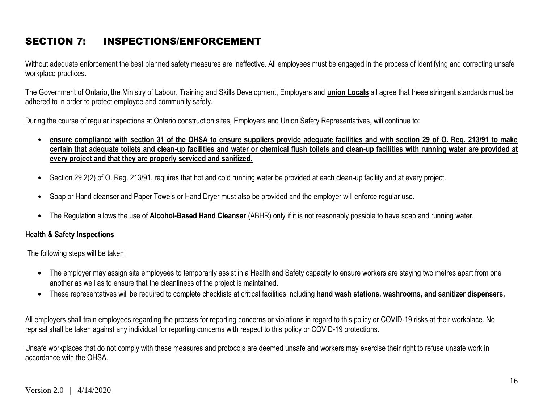## SECTION 7: INSPECTIONS/ENFORCEMENT

Without adequate enforcement the best planned safety measures are ineffective. All employees must be engaged in the process of identifying and correcting unsafe workplace practices.

The Government of Ontario, the Ministry of Labour, Training and Skills Development, Employers and **union Locals** all agree that these stringent standards must be adhered to in order to protect employee and community safety.

During the course of regular inspections at Ontario construction sites, Employers and Union Safety Representatives, will continue to:

- **ensure compliance with section 31 of the OHSA to ensure suppliers provide adequate facilities and with section 29 of O. Reg. 213/91 to make certain that adequate toilets and clean-up facilities and water or chemical flush toilets and clean-up facilities with running water are provided at every project and that they are properly serviced and sanitized.**
- Section 29.2(2) of O. Reg. 213/91, requires that hot and cold running water be provided at each clean-up facility and at every project.
- Soap or Hand cleanser and Paper Towels or Hand Dryer must also be provided and the employer will enforce regular use.
- The Regulation allows the use of **Alcohol-Based Hand Cleanser** (ABHR) only if it is not reasonably possible to have soap and running water.

#### **Health & Safety Inspections**

The following steps will be taken:

- The employer may assign site employees to temporarily assist in a Health and Safety capacity to ensure workers are staying two metres apart from one another as well as to ensure that the cleanliness of the project is maintained.
- These representatives will be required to complete checklists at critical facilities including **hand wash stations, washrooms, and sanitizer dispensers.**

All employers shall train employees regarding the process for reporting concerns or violations in regard to this policy or COVID-19 risks at their workplace. No reprisal shall be taken against any individual for reporting concerns with respect to this policy or COVID-19 protections.

Unsafe workplaces that do not comply with these measures and protocols are deemed unsafe and workers may exercise their right to refuse unsafe work in accordance with the OHSA.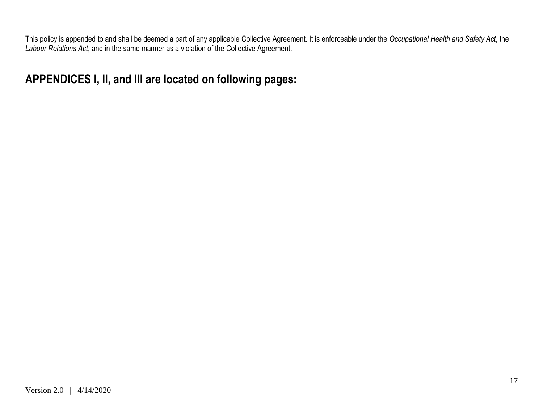This policy is appended to and shall be deemed a part of any applicable Collective Agreement. It is enforceable under the *Occupational Health and Safety Act*, the *Labour Relations Act*, and in the same manner as a violation of the Collective Agreement.

**APPENDICES I, II, and III are located on following pages:**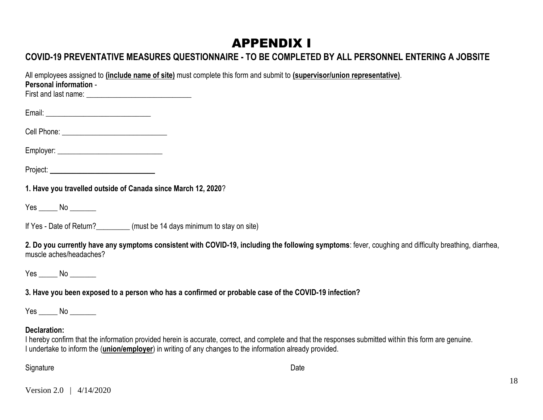# APPENDIX I

## **COVID-19 PREVENTATIVE MEASURES QUESTIONNAIRE - TO BE COMPLETED BY ALL PERSONNEL ENTERING A JOBSITE**

All employees assigned to **(include name of site)** must complete this form and submit to **(supervisor/union representative)**. **Personal information** - First and last name: **\_\_\_\_\_\_\_\_\_\_\_\_\_\_\_\_\_\_\_\_\_\_\_\_\_\_\_\_** Email: \_\_\_\_\_\_\_\_\_\_\_\_\_\_\_\_\_\_\_\_\_\_\_\_\_\_\_\_ Cell Phone: \_\_\_\_\_\_\_\_\_\_\_\_\_\_\_\_\_\_\_\_\_\_\_\_\_\_\_\_ Employer: Project: **1. Have you travelled outside of Canada since March 12, 2020**? Yes \_\_\_\_\_ No \_\_\_\_\_\_\_ If Yes - Date of Return? (must be 14 days minimum to stay on site) **2. Do you currently have any symptoms consistent with COVID-19, including the following symptoms**: fever, coughing and difficulty breathing, diarrhea, muscle aches/headaches? Yes No  $\blacksquare$ **3. Have you been exposed to a person who has a confirmed or probable case of the COVID-19 infection?** Yes \_\_\_\_\_ No \_\_\_\_\_\_\_ **Declaration:** I hereby confirm that the information provided herein is accurate, correct, and complete and that the responses submitted within this form are genuine. I undertake to inform the (**union/employer**) in writing of any changes to the information already provided. Signature **Date** 

Version 2.0 | 4/14/2020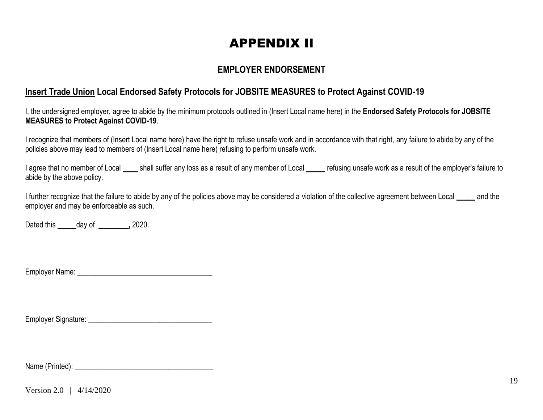# APPENDIX II

### **EMPLOYER ENDORSEMENT**

### **Insert Trade Union Local Endorsed Safety Protocols for JOBSITE MEASURES to Protect Against COVID-19**

I, the undersigned employer, agree to abide by the minimum protocols outlined in (Insert Local name here) in the **Endorsed Safety Protocols for JOBSITE MEASURES to Protect Against COVID-19**.

I recognize that members of (Insert Local name here) have the right to refuse unsafe work and in accordance with that right, any failure to abide by any of the policies above may lead to members of (Insert Local name here) refusing to perform unsafe work.

I agree that no member of Local \_\_\_\_ shall suffer any loss as a result of any member of Local **\_\_\_\_\_** refusing unsafe work as a result of the employer's failure to abide by the above policy.

I further recognize that the failure to abide by any of the policies above may be considered a violation of the collective agreement between Local **\_\_\_\_\_** and the employer and may be enforceable as such.

Dated this **\_\_\_\_\_**day of **\_\_\_\_\_\_\_\_,** 2020.

Employer Name: **Employer Name:**  $\blacksquare$ 

Employer Signature: \_\_\_\_\_\_\_\_\_\_\_\_\_\_\_\_\_\_\_\_\_\_\_\_\_\_\_\_\_\_\_\_\_

Name (Printed): \_\_\_\_\_\_\_\_\_\_\_\_\_\_\_\_\_\_\_\_\_\_\_\_\_\_\_\_\_\_\_\_\_\_\_\_\_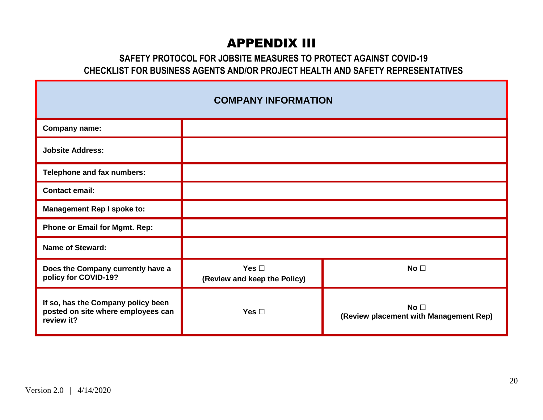# APPENDIX III

### **SAFETY PROTOCOL FOR JOBSITE MEASURES TO PROTECT AGAINST COVID-19 CHECKLIST FOR BUSINESS AGENTS AND/OR PROJECT HEALTH AND SAFETY REPRESENTATIVES**

| <b>COMPANY INFORMATION</b>                                                             |                                            |                                                           |  |  |  |  |  |  |
|----------------------------------------------------------------------------------------|--------------------------------------------|-----------------------------------------------------------|--|--|--|--|--|--|
| <b>Company name:</b>                                                                   |                                            |                                                           |  |  |  |  |  |  |
| <b>Jobsite Address:</b>                                                                |                                            |                                                           |  |  |  |  |  |  |
| Telephone and fax numbers:                                                             |                                            |                                                           |  |  |  |  |  |  |
| <b>Contact email:</b>                                                                  |                                            |                                                           |  |  |  |  |  |  |
| <b>Management Rep I spoke to:</b>                                                      |                                            |                                                           |  |  |  |  |  |  |
| <b>Phone or Email for Mgmt. Rep:</b>                                                   |                                            |                                                           |  |  |  |  |  |  |
| <b>Name of Steward:</b>                                                                |                                            |                                                           |  |  |  |  |  |  |
| Does the Company currently have a<br>policy for COVID-19?                              | Yes $\Box$<br>(Review and keep the Policy) | No <sub>1</sub>                                           |  |  |  |  |  |  |
| If so, has the Company policy been<br>posted on site where employees can<br>review it? | Yes $\Box$                                 | No <sub>1</sub><br>(Review placement with Management Rep) |  |  |  |  |  |  |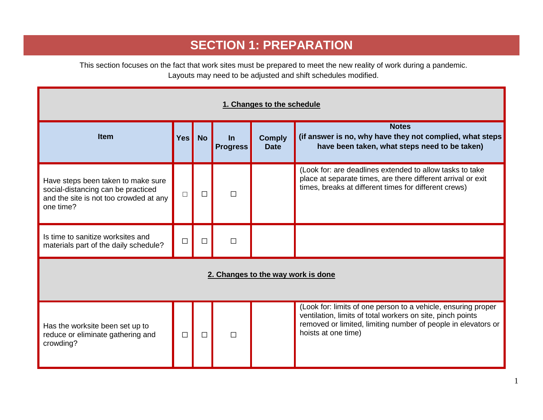# **SECTION 1: PREPARATION**

This section focuses on the fact that work sites must be prepared to meet the new reality of work during a pandemic. Layouts may need to be adjusted and shift schedules modified.

| 1. Changes to the schedule                                                                                                      |                               |           |                              |                              |                                                                                                                                                                                                                     |  |  |  |
|---------------------------------------------------------------------------------------------------------------------------------|-------------------------------|-----------|------------------------------|------------------------------|---------------------------------------------------------------------------------------------------------------------------------------------------------------------------------------------------------------------|--|--|--|
| <b>Item</b>                                                                                                                     | Yes $\boldsymbol{\mathsf{I}}$ | <b>No</b> | <u>In</u><br><b>Progress</b> | <b>Comply</b><br><b>Date</b> | <b>Notes</b><br>(if answer is no, why have they not complied, what steps<br>have been taken, what steps need to be taken)                                                                                           |  |  |  |
| Have steps been taken to make sure<br>social-distancing can be practiced<br>and the site is not too crowded at any<br>one time? | $\Box$                        | $\Box$    | П                            |                              | (Look for: are deadlines extended to allow tasks to take<br>place at separate times, are there different arrival or exit<br>times, breaks at different times for different crews)                                   |  |  |  |
| Is time to sanitize worksites and<br>materials part of the daily schedule?                                                      | $\Box$                        | $\Box$    | $\Box$                       |                              |                                                                                                                                                                                                                     |  |  |  |
| 2. Changes to the way work is done                                                                                              |                               |           |                              |                              |                                                                                                                                                                                                                     |  |  |  |
| Has the worksite been set up to<br>reduce or eliminate gathering and<br>crowding?                                               | $\Box$                        | $\Box$    | П                            |                              | (Look for: limits of one person to a vehicle, ensuring proper<br>ventilation, limits of total workers on site, pinch points<br>removed or limited, limiting number of people in elevators or<br>hoists at one time) |  |  |  |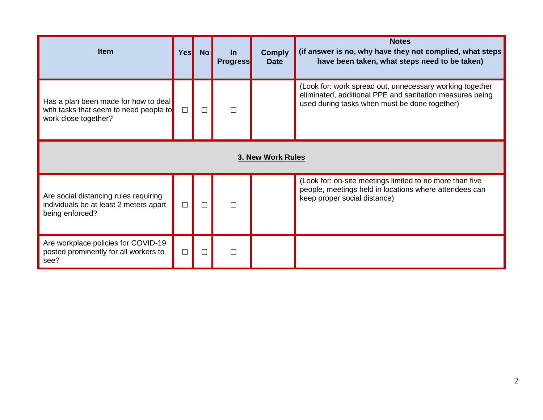| <b>Item</b>                                                                                            | Yes <sub>l</sub> | <b>No</b> | <b>In</b><br><b>Progress</b> | <b>Comply</b><br><b>Date</b> | <b>Notes</b><br>(if answer is no, why have they not complied, what steps<br>have been taken, what steps need to be taken)                                             |  |  |
|--------------------------------------------------------------------------------------------------------|------------------|-----------|------------------------------|------------------------------|-----------------------------------------------------------------------------------------------------------------------------------------------------------------------|--|--|
| Has a plan been made for how to deal<br>with tasks that seem to need people to<br>work close together? | $\Box$           | $\Box$    | П                            |                              | (Look for: work spread out, unnecessary working together<br>eliminated, additional PPE and sanitation measures being<br>used during tasks when must be done together) |  |  |
| 3. New Work Rules                                                                                      |                  |           |                              |                              |                                                                                                                                                                       |  |  |
| Are social distancing rules requiring<br>individuals be at least 2 meters apart<br>being enforced?     | $\Box$           | $\Box$    | П                            |                              | (Look for: on-site meetings limited to no more than five<br>people, meetings held in locations where attendees can<br>keep proper social distance)                    |  |  |
| Are workplace policies for COVID-19<br>posted prominently for all workers to<br>see?                   | П                | $\Box$    | П                            |                              |                                                                                                                                                                       |  |  |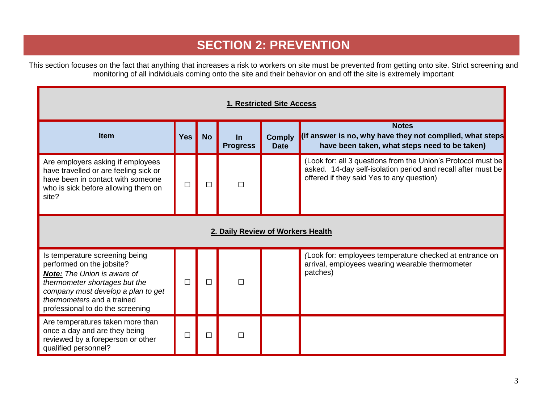## **SECTION 2: PREVENTION**

This section focuses on the fact that anything that increases a risk to workers on site must be prevented from getting onto site. Strict screening and monitoring of all individuals coming onto the site and their behavior on and off the site is extremely important

| 1. Restricted Site Access                                                                                                                                                                                                                  |            |           |                              |                              |                                                                                                                                                                           |  |  |  |  |
|--------------------------------------------------------------------------------------------------------------------------------------------------------------------------------------------------------------------------------------------|------------|-----------|------------------------------|------------------------------|---------------------------------------------------------------------------------------------------------------------------------------------------------------------------|--|--|--|--|
| <b>Item</b>                                                                                                                                                                                                                                | <b>Yes</b> | <b>No</b> | <u>In</u><br><b>Progress</b> | <b>Comply</b><br><b>Date</b> | <b>Notes</b><br>(if answer is no, why have they not complied, what steps<br>have been taken, what steps need to be taken)                                                 |  |  |  |  |
| Are employers asking if employees<br>have travelled or are feeling sick or<br>have been in contact with someone<br>who is sick before allowing them on<br>site?                                                                            | □          | П         | П                            |                              | (Look for: all 3 questions from the Union's Protocol must be<br>asked. 14-day self-isolation period and recall after must be<br>offered if they said Yes to any question) |  |  |  |  |
| 2. Daily Review of Workers Health                                                                                                                                                                                                          |            |           |                              |                              |                                                                                                                                                                           |  |  |  |  |
| Is temperature screening being<br>performed on the jobsite?<br><b>Note:</b> The Union is aware of<br>thermometer shortages but the<br>company must develop a plan to get<br>thermometers and a trained<br>professional to do the screening | $\Box$     | $\Box$    | П                            |                              | (Look for: employees temperature checked at entrance on<br>arrival, employees wearing wearable thermometer<br>patches)                                                    |  |  |  |  |
| Are temperatures taken more than<br>once a day and are they being<br>reviewed by a foreperson or other<br>qualified personnel?                                                                                                             | □          | П         | $\Box$                       |                              |                                                                                                                                                                           |  |  |  |  |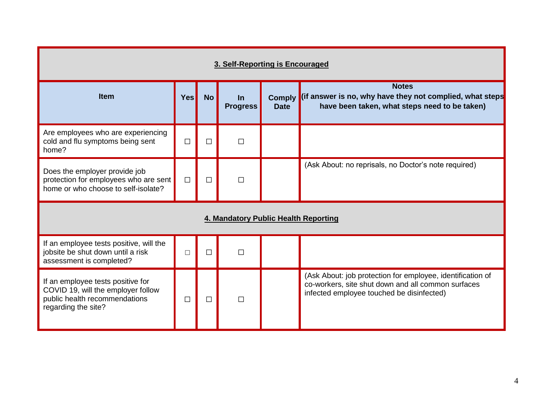| 3. Self-Reporting is Encouraged                                                                                                 |            |           |                          |             |                                                                                                                                                               |  |  |  |  |
|---------------------------------------------------------------------------------------------------------------------------------|------------|-----------|--------------------------|-------------|---------------------------------------------------------------------------------------------------------------------------------------------------------------|--|--|--|--|
| <b>Item</b>                                                                                                                     | <b>Yes</b> | <b>No</b> | $\ln$<br><b>Progress</b> | <b>Date</b> | <b>Notes</b><br>Comply (if answer is no, why have they not complied, what steps<br>have been taken, what steps need to be taken)                              |  |  |  |  |
| Are employees who are experiencing<br>cold and flu symptoms being sent<br>home?                                                 | $\Box$     | $\Box$    | $\Box$                   |             |                                                                                                                                                               |  |  |  |  |
| Does the employer provide job<br>protection for employees who are sent<br>home or who choose to self-isolate?                   | $\Box$     | $\Box$    | $\Box$                   |             | (Ask About: no reprisals, no Doctor's note required)                                                                                                          |  |  |  |  |
| 4. Mandatory Public Health Reporting                                                                                            |            |           |                          |             |                                                                                                                                                               |  |  |  |  |
| If an employee tests positive, will the<br>jobsite be shut down until a risk<br>assessment is completed?                        | $\Box$     | $\Box$    | $\Box$                   |             |                                                                                                                                                               |  |  |  |  |
| If an employee tests positive for<br>COVID 19, will the employer follow<br>public health recommendations<br>regarding the site? | $\Box$     | $\Box$    | П                        |             | (Ask About: job protection for employee, identification of<br>co-workers, site shut down and all common surfaces<br>infected employee touched be disinfected) |  |  |  |  |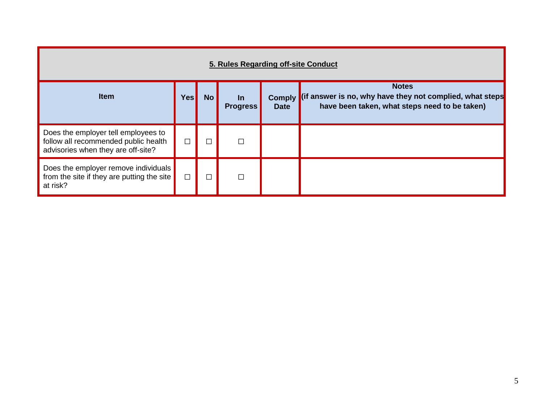| 5. Rules Regarding off-site Conduct                                                                               |        |           |                              |                              |                                                                                                                           |  |  |  |  |
|-------------------------------------------------------------------------------------------------------------------|--------|-----------|------------------------------|------------------------------|---------------------------------------------------------------------------------------------------------------------------|--|--|--|--|
| <b>Item</b>                                                                                                       | Yes    | <b>No</b> | <u>In</u><br><b>Progress</b> | <b>Comply</b><br><b>Date</b> | <b>Notes</b><br>(if answer is no, why have they not complied, what steps<br>have been taken, what steps need to be taken) |  |  |  |  |
| Does the employer tell employees to<br>follow all recommended public health<br>advisories when they are off-site? | $\Box$ |           | □                            |                              |                                                                                                                           |  |  |  |  |
| Does the employer remove individuals<br>from the site if they are putting the site<br>at risk?                    | $\Box$ |           | $\Box$                       |                              |                                                                                                                           |  |  |  |  |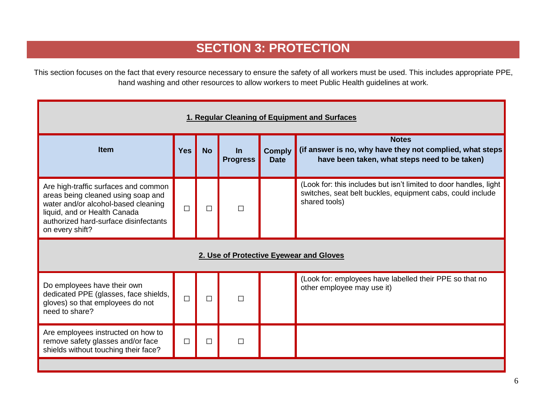# **SECTION 3: PROTECTION**

This section focuses on the fact that every resource necessary to ensure the safety of all workers must be used. This includes appropriate PPE, hand washing and other resources to allow workers to meet Public Health guidelines at work.

| 1. Regular Cleaning of Equipment and Surfaces                                                                                                                                                                 |            |           |                              |                              |                                                                                                                                                  |  |  |  |  |
|---------------------------------------------------------------------------------------------------------------------------------------------------------------------------------------------------------------|------------|-----------|------------------------------|------------------------------|--------------------------------------------------------------------------------------------------------------------------------------------------|--|--|--|--|
| <b>Item</b>                                                                                                                                                                                                   | <b>Yes</b> | <b>No</b> | <u>In</u><br><b>Progress</b> | <b>Comply</b><br><b>Date</b> | <b>Notes</b><br>(if answer is no, why have they not complied, what steps<br>have been taken, what steps need to be taken)                        |  |  |  |  |
| Are high-traffic surfaces and common<br>areas being cleaned using soap and<br>water and/or alcohol-based cleaning<br>liquid, and or Health Canada<br>authorized hard-surface disinfectants<br>on every shift? | $\Box$     | П         | П                            |                              | (Look for: this includes but isn't limited to door handles, light<br>switches, seat belt buckles, equipment cabs, could include<br>shared tools) |  |  |  |  |
| 2. Use of Protective Eyewear and Gloves                                                                                                                                                                       |            |           |                              |                              |                                                                                                                                                  |  |  |  |  |
| Do employees have their own<br>dedicated PPE (glasses, face shields,<br>gloves) so that employees do not<br>need to share?                                                                                    | $\Box$     | $\Box$    | П                            |                              | (Look for: employees have labelled their PPE so that no<br>other employee may use it)                                                            |  |  |  |  |
| Are employees instructed on how to<br>remove safety glasses and/or face<br>shields without touching their face?                                                                                               | $\Box$     | $\Box$    | $\Box$                       |                              |                                                                                                                                                  |  |  |  |  |
|                                                                                                                                                                                                               |            |           |                              |                              |                                                                                                                                                  |  |  |  |  |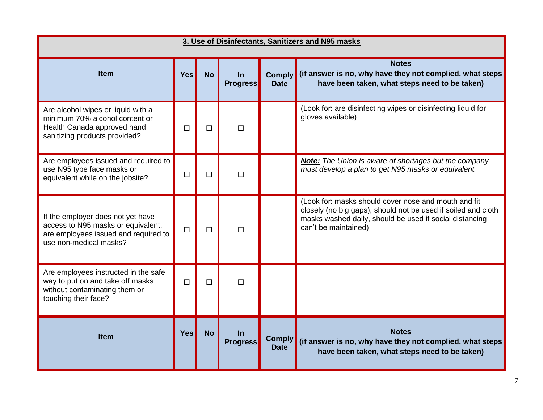| 3. Use of Disinfectants, Sanitizers and N95 masks                                                                                         |            |           |                              |                              |                                                                                                                                                                                                          |  |  |  |
|-------------------------------------------------------------------------------------------------------------------------------------------|------------|-----------|------------------------------|------------------------------|----------------------------------------------------------------------------------------------------------------------------------------------------------------------------------------------------------|--|--|--|
| <b>Item</b>                                                                                                                               | <b>Yes</b> | <b>No</b> | <u>In</u><br><b>Progress</b> | <b>Comply</b><br><b>Date</b> | <b>Notes</b><br>(if answer is no, why have they not complied, what steps<br>have been taken, what steps need to be taken)                                                                                |  |  |  |
| Are alcohol wipes or liquid with a<br>minimum 70% alcohol content or<br>Health Canada approved hand<br>sanitizing products provided?      | □          | □         | □                            |                              | (Look for: are disinfecting wipes or disinfecting liquid for<br>gloves available)                                                                                                                        |  |  |  |
| Are employees issued and required to<br>use N95 type face masks or<br>equivalent while on the jobsite?                                    | П          | $\Box$    | $\Box$                       |                              | <b>Note:</b> The Union is aware of shortages but the company<br>must develop a plan to get N95 masks or equivalent.                                                                                      |  |  |  |
| If the employer does not yet have<br>access to N95 masks or equivalent,<br>are employees issued and required to<br>use non-medical masks? | $\Box$     | $\Box$    | □                            |                              | (Look for: masks should cover nose and mouth and fit<br>closely (no big gaps), should not be used if soiled and cloth<br>masks washed daily, should be used if social distancing<br>can't be maintained) |  |  |  |
| Are employees instructed in the safe<br>way to put on and take off masks<br>without contaminating them or<br>touching their face?         | $\Box$     | $\Box$    | $\Box$                       |                              |                                                                                                                                                                                                          |  |  |  |
| <b>Item</b>                                                                                                                               | <b>Yes</b> | <b>No</b> | $\ln$<br><b>Progress</b>     | <b>Comply</b><br><b>Date</b> | <b>Notes</b><br>(if answer is no, why have they not complied, what steps<br>have been taken, what steps need to be taken)                                                                                |  |  |  |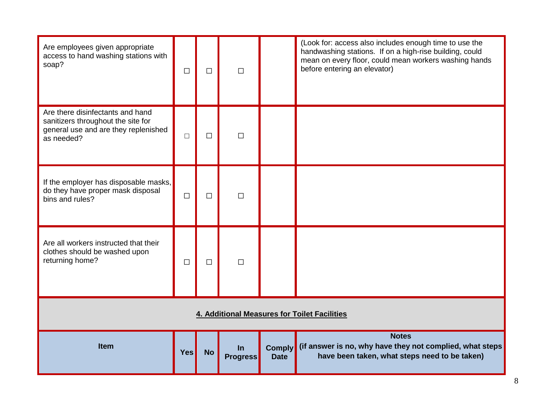| Are employees given appropriate<br>access to hand washing stations with<br>soap?                                             | $\Box$     | $\Box$    | $\Box$                   |                              | (Look for: access also includes enough time to use the<br>handwashing stations. If on a high-rise building, could<br>mean on every floor, could mean workers washing hands<br>before entering an elevator) |  |  |
|------------------------------------------------------------------------------------------------------------------------------|------------|-----------|--------------------------|------------------------------|------------------------------------------------------------------------------------------------------------------------------------------------------------------------------------------------------------|--|--|
| Are there disinfectants and hand<br>sanitizers throughout the site for<br>general use and are they replenished<br>as needed? | $\Box$     | □         | $\Box$                   |                              |                                                                                                                                                                                                            |  |  |
| If the employer has disposable masks,<br>do they have proper mask disposal<br>bins and rules?                                | $\Box$     | $\Box$    | $\Box$                   |                              |                                                                                                                                                                                                            |  |  |
| Are all workers instructed that their<br>clothes should be washed upon<br>returning home?                                    | $\Box$     | $\Box$    | $\Box$                   |                              |                                                                                                                                                                                                            |  |  |
| 4. Additional Measures for Toilet Facilities                                                                                 |            |           |                          |                              |                                                                                                                                                                                                            |  |  |
| <b>Item</b>                                                                                                                  | <b>Yes</b> | <b>No</b> | $\ln$<br><b>Progress</b> | <b>Comply</b><br><b>Date</b> | <b>Notes</b><br>(if answer is no, why have they not complied, what steps<br>have been taken, what steps need to be taken)                                                                                  |  |  |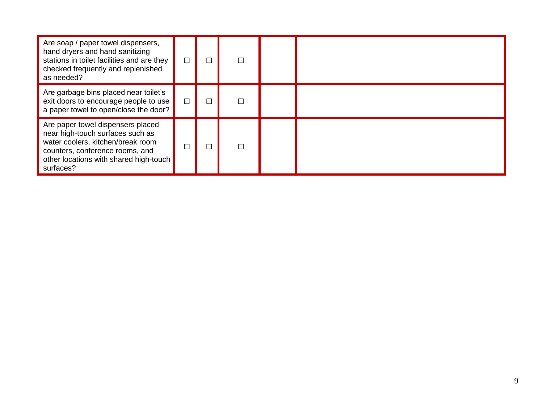| Are soap / paper towel dispensers,<br>hand dryers and hand sanitizing<br>stations in toilet facilities and are they<br>checked frequently and replenished<br>as needed?                              |  |  |  |
|------------------------------------------------------------------------------------------------------------------------------------------------------------------------------------------------------|--|--|--|
| Are garbage bins placed near toilet's<br>exit doors to encourage people to use<br>a paper towel to open/close the door?                                                                              |  |  |  |
| Are paper towel dispensers placed<br>near high-touch surfaces such as<br>water coolers, kitchen/break room<br>counters, conference rooms, and<br>other locations with shared high-touch<br>surfaces? |  |  |  |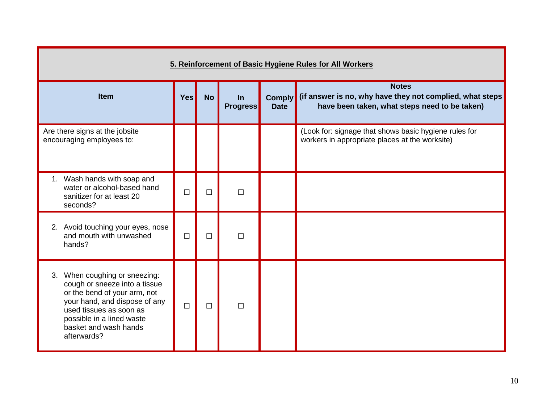| 5. Reinforcement of Basic Hygiene Rules for All Workers                                                                                                                                                                         |            |           |                          |                              |                                                                                                                            |
|---------------------------------------------------------------------------------------------------------------------------------------------------------------------------------------------------------------------------------|------------|-----------|--------------------------|------------------------------|----------------------------------------------------------------------------------------------------------------------------|
| <b>Item</b>                                                                                                                                                                                                                     | <b>Yes</b> | <b>No</b> | $\ln$<br><b>Progress</b> | <b>Comply</b><br><b>Date</b> | <b>Notes</b><br>(if answer is no, why have they not complied, what steps)<br>have been taken, what steps need to be taken) |
| Are there signs at the jobsite<br>encouraging employees to:                                                                                                                                                                     |            |           |                          |                              | (Look for: signage that shows basic hygiene rules for<br>workers in appropriate places at the worksite)                    |
| 1. Wash hands with soap and<br>water or alcohol-based hand<br>sanitizer for at least 20<br>seconds?                                                                                                                             | $\Box$     | $\Box$    | $\Box$                   |                              |                                                                                                                            |
| 2. Avoid touching your eyes, nose<br>and mouth with unwashed<br>hands?                                                                                                                                                          | $\Box$     | $\Box$    | $\Box$                   |                              |                                                                                                                            |
| 3. When coughing or sneezing:<br>cough or sneeze into a tissue<br>or the bend of your arm, not<br>your hand, and dispose of any<br>used tissues as soon as<br>possible in a lined waste<br>basket and wash hands<br>afterwards? | $\Box$     | $\Box$    | $\Box$                   |                              |                                                                                                                            |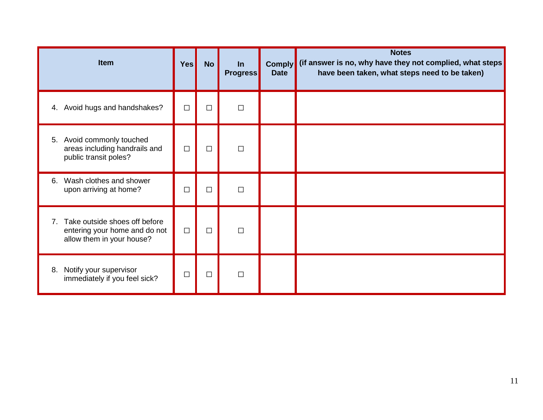| Item                                                                                              | Yes    | <b>No</b> | <u>In</u><br><b>Progress</b> | <b>Comply</b><br><b>Date</b> | <b>Notes</b><br>(if answer is no, why have they not complied, what steps<br>have been taken, what steps need to be taken) |
|---------------------------------------------------------------------------------------------------|--------|-----------|------------------------------|------------------------------|---------------------------------------------------------------------------------------------------------------------------|
| 4. Avoid hugs and handshakes?                                                                     | $\Box$ | $\Box$    | $\Box$                       |                              |                                                                                                                           |
| Avoid commonly touched<br>5.<br>areas including handrails and<br>public transit poles?            | $\Box$ | $\Box$    | $\Box$                       |                              |                                                                                                                           |
| Wash clothes and shower<br>6.<br>upon arriving at home?                                           | $\Box$ | $\Box$    | $\Box$                       |                              |                                                                                                                           |
| Take outside shoes off before<br>7.<br>entering your home and do not<br>allow them in your house? | $\Box$ | $\Box$    | $\Box$                       |                              |                                                                                                                           |
| Notify your supervisor<br>8.<br>immediately if you feel sick?                                     | $\Box$ | $\Box$    | $\Box$                       |                              |                                                                                                                           |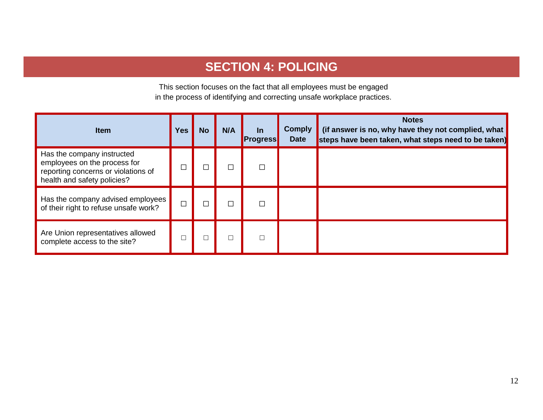## **SECTION 4: POLICING**

This section focuses on the fact that all employees must be engaged in the process of identifying and correcting unsafe workplace practices.

| <b>Item</b>                                                                                                                      | <b>Yes</b> | <b>No</b> | N/A | $\ln$<br><b>Progress</b> | <b>Comply</b><br><b>Date</b> | <b>Notes</b><br>(if answer is no, why have they not complied, what<br>steps have been taken, what steps need to be taken) |
|----------------------------------------------------------------------------------------------------------------------------------|------------|-----------|-----|--------------------------|------------------------------|---------------------------------------------------------------------------------------------------------------------------|
| Has the company instructed<br>employees on the process for<br>reporting concerns or violations of<br>health and safety policies? |            |           |     |                          |                              |                                                                                                                           |
| Has the company advised employees<br>of their right to refuse unsafe work?                                                       | $\Box$     |           |     |                          |                              |                                                                                                                           |
| Are Union representatives allowed<br>complete access to the site?                                                                |            |           |     |                          |                              |                                                                                                                           |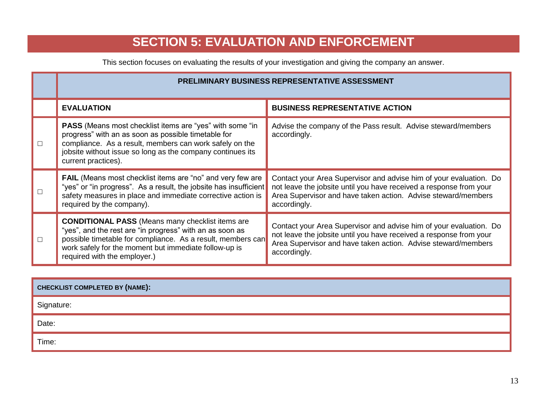# **SECTION 5: EVALUATION AND ENFORCEMENT**

This section focuses on evaluating the results of your investigation and giving the company an answer.

|        | <b>PRELIMINARY BUSINESS REPRESENTATIVE ASSESSMENT</b>                                                                                                                                                                                                                       |                                                                                                                                                                                                                           |  |  |  |  |  |
|--------|-----------------------------------------------------------------------------------------------------------------------------------------------------------------------------------------------------------------------------------------------------------------------------|---------------------------------------------------------------------------------------------------------------------------------------------------------------------------------------------------------------------------|--|--|--|--|--|
|        | <b>EVALUATION</b>                                                                                                                                                                                                                                                           | <b>BUSINESS REPRESENTATIVE ACTION</b>                                                                                                                                                                                     |  |  |  |  |  |
| $\Box$ | <b>PASS</b> (Means most checklist items are "yes" with some "in<br>progress" with an as soon as possible timetable for<br>compliance. As a result, members can work safely on the<br>jobsite without issue so long as the company continues its<br>current practices).      | Advise the company of the Pass result. Advise steward/members<br>accordingly.                                                                                                                                             |  |  |  |  |  |
| П      | <b>FAIL</b> (Means most checklist items are "no" and very few are<br>"yes" or "in progress". As a result, the jobsite has insufficient<br>safety measures in place and immediate corrective action is<br>required by the company).                                          | Contact your Area Supervisor and advise him of your evaluation. Do<br>not leave the jobsite until you have received a response from your<br>Area Supervisor and have taken action. Advise steward/members<br>accordingly. |  |  |  |  |  |
| $\Box$ | <b>CONDITIONAL PASS</b> (Means many checklist items are<br>"yes", and the rest are "in progress" with an as soon as<br>possible timetable for compliance. As a result, members can<br>work safely for the moment but immediate follow-up is<br>required with the employer.) | Contact your Area Supervisor and advise him of your evaluation. Do<br>not leave the jobsite until you have received a response from your<br>Area Supervisor and have taken action. Advise steward/members<br>accordingly. |  |  |  |  |  |

| CHECKLIST COMPLETED BY (NAME): |  |  |  |
|--------------------------------|--|--|--|
|                                |  |  |  |

Signature:

Date:

Time: